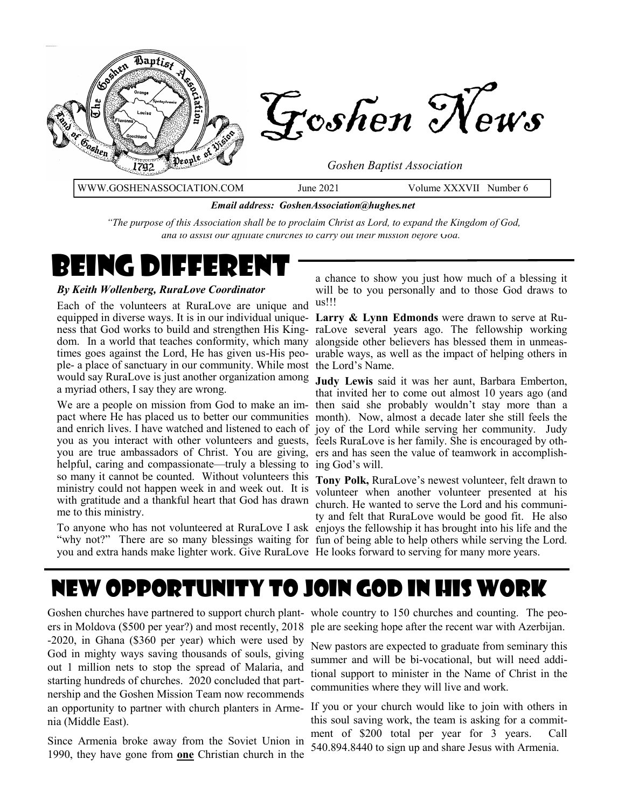

*Email address: GoshenAssociation@hughes.net*

*"The purpose of this Association shall be to proclaim Christ as Lord, to expand the Kingdom of God, and to assist our affiliate churches to carry out their mission before God."*

# Being Die Eer

#### *By Keith Wollenberg, RuraLove Coordinator*

Each of the volunteers at RuraLove are unique and equipped in diverse ways. It is in our individual unique-**Larry & Lynn Edmonds** were drawn to serve at Rudom. In a world that teaches conformity, which many alongside other believers has blessed them in unmeasple- a place of sanctuary in our community. While most the Lord's Name. would say RuraLove is just another organization among **Judy Lewis** said it was her aunt, Barbara Emberton, a myriad others, I say they are wrong.

you as you interact with other volunteers and guests, feels RuraLove is her family. She is encouraged by othyou are true ambassadors of Christ. You are giving, ers and has seen the value of teamwork in accomplishhelpful, caring and compassionate—truly a blessing to ing God's will. so many it cannot be counted. Without volunteers this ministry could not happen week in and week out. It is with gratitude and a thankful heart that God has drawn me to this ministry.

a chance to show you just how much of a blessing it will be to you personally and to those God draws to us!!!

ness that God works to build and strengthen His King-raLove several years ago. The fellowship working times goes against the Lord, He has given us-His peo-urable ways, as well as the impact of helping others in

We are a people on mission from God to make an im-then said she probably wouldn't stay more than a pact where He has placed us to better our communities month). Now, almost a decade later she still feels the and enrich lives. I have watched and listened to each of joy of the Lord while serving her community. Judy that invited her to come out almost 10 years ago (and

To anyone who has not volunteered at RuraLove I ask enjoys the fellowship it has brought into his life and the "why not?" There are so many blessings waiting for fun of being able to help others while serving the Lord. you and extra hands make lighter work. Give RuraLove He looks forward to serving for many more years. **Tony Polk,** RuraLove's newest volunteer, felt drawn to volunteer when another volunteer presented at his church. He wanted to serve the Lord and his community and felt that RuraLove would be good fit. He also

# New Opportunity to join God in His work

ers in Moldova (\$500 per year?) and most recently, 2018 ple are seeking hope after the recent war with Azerbijan. -2020, in Ghana (\$360 per year) which were used by God in mighty ways saving thousands of souls, giving out 1 million nets to stop the spread of Malaria, and starting hundreds of churches. 2020 concluded that partnership and the Goshen Mission Team now recommends an opportunity to partner with church planters in Arme-If you or your church would like to join with others in nia (Middle East).

Since Armenia broke away from the Soviet Union in 1990, they have gone from **one** Christian church in the

Goshen churches have partnered to support church plant- whole country to 150 churches and counting. The peo-

New pastors are expected to graduate from seminary this summer and will be bi-vocational, but will need additional support to minister in the Name of Christ in the communities where they will live and work.

this soul saving work, the team is asking for a commitment of \$200 total per year for 3 years. Call 540.894.8440 to sign up and share Jesus with Armenia.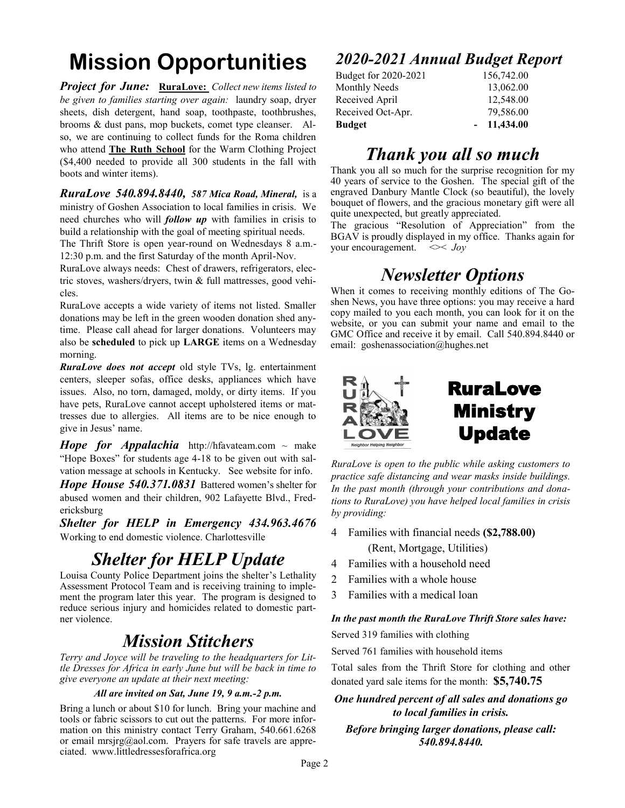# **Mission Opportunities**

*Project for June:* **RuraLove:** *Collect new items listed to be given to families starting over again:* laundry soap, dryer sheets, dish detergent, hand soap, toothpaste, toothbrushes, brooms & dust pans, mop buckets, comet type cleanser. Also, we are continuing to collect funds for the Roma children who attend **The Ruth School** for the Warm Clothing Project (\$4,400 needed to provide all 300 students in the fall with boots and winter items).

*RuraLove 540.894.8440, 587 Mica Road, Mineral,* is a ministry of Goshen Association to local families in crisis. We need churches who will *follow up* with families in crisis to build a relationship with the goal of meeting spiritual needs.

The Thrift Store is open year-round on Wednesdays 8 a.m.- 12:30 p.m. and the first Saturday of the month April-Nov.

RuraLove always needs: Chest of drawers, refrigerators, electric stoves, washers/dryers, twin & full mattresses, good vehicles.

RuraLove accepts a wide variety of items not listed. Smaller donations may be left in the green wooden donation shed anytime. Please call ahead for larger donations. Volunteers may also be **scheduled** to pick up **LARGE** items on a Wednesday morning.

*RuraLove does not accept* old style TVs, lg. entertainment centers, sleeper sofas, office desks, appliances which have issues. Also, no torn, damaged, moldy, or dirty items. If you have pets, RuraLove cannot accept upholstered items or mattresses due to allergies. All items are to be nice enough to give in Jesus' name.

*Hope for Appalachia* http://hfavateam.com  $\sim$  make "Hope Boxes" for students age 4-18 to be given out with salvation message at schools in Kentucky. See website for info.

*Hope House 540.371.0831* Battered women's shelter for abused women and their children, 902 Lafayette Blvd., Fredericksburg

*Shelter for HELP in Emergency 434.963.4676*  Working to end domestic violence. Charlottesville

## *Shelter for HELP Update*

Louisa County Police Department joins the shelter's Lethality Assessment Protocol Team and is receiving training to implement the program later this year. The program is designed to reduce serious injury and homicides related to domestic partner violence.

#### *Mission Stitchers*

*Terry and Joyce will be traveling to the headquarters for Little Dresses for Africa in early June but will be back in time to give everyone an update at their next meeting:*

#### *All are invited on Sat, June 19, 9 a.m.-2 p.m.*

Bring a lunch or about \$10 for lunch. Bring your machine and tools or fabric scissors to cut out the patterns. For more information on this ministry contact Terry Graham, 540.661.6268 or email mrsjrg@aol.com. Prayers for safe travels are appreciated. www.littledressesforafrica.org

#### *2020-2021 Annual Budget Report*

| Budget for 2020-2021 | 156,742.00   |
|----------------------|--------------|
| Monthly Needs        | 13,062.00    |
| Received April       | 12,548.00    |
| Received Oct-Apr.    | 79,586.00    |
| <b>Budget</b>        | $-11,434.00$ |

#### *Thank you all so much*

Thank you all so much for the surprise recognition for my 40 years of service to the Goshen. The special gift of the engraved Danbury Mantle Clock (so beautiful), the lovely bouquet of flowers, and the gracious monetary gift were all quite unexpected, but greatly appreciated.

The gracious "Resolution of Appreciation" from the BGAV is proudly displayed in my office. Thanks again for your encouragement.  $\ll$  *Joy* 

### *Newsletter Options*

When it comes to receiving monthly editions of The Goshen News, you have three options: you may receive a hard copy mailed to you each month, you can look for it on the website, or you can submit your name and email to the GMC Office and receive it by email. Call 540.894.8440 or email: goshenassociation@hughes.net



*RuraLove is open to the public while asking customers to practice safe distancing and wear masks inside buildings. In the past month (through your contributions and donations to RuraLove) you have helped local families in crisis by providing:*

- 4 Families with financial needs **(\$2,788.00)** (Rent, Mortgage, Utilities)
- 4 Families with a household need
- 2 Families with a whole house
- 3 Families with a medical loan

#### *In the past month the RuraLove Thrift Store sales have:*

Served 319 families with clothing

Served 761 families with household items

Total sales from the Thrift Store for clothing and other donated yard sale items for the month: **\$5,740.75** 

*One hundred percent of all sales and donations go to local families in crisis. Before bringing larger donations, please call:* 

*540.894.8440.*

Page 2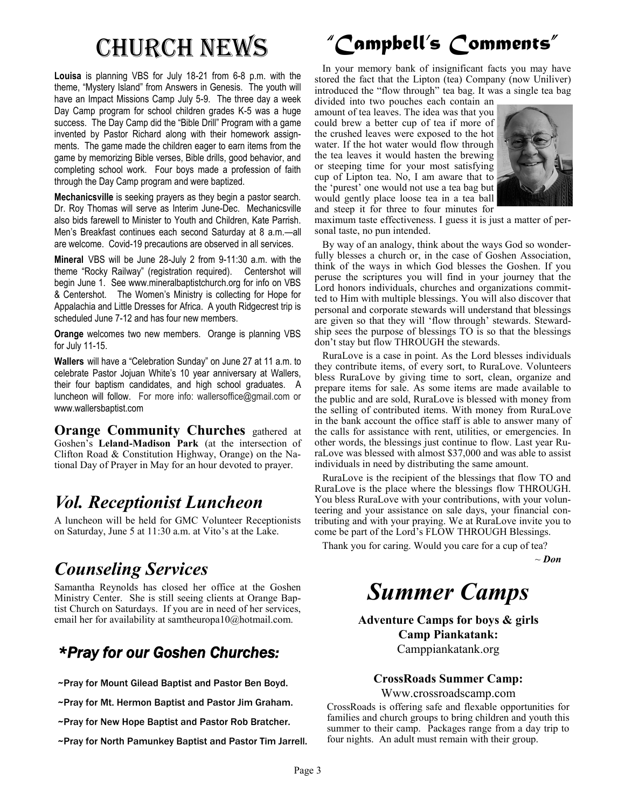**Louisa** is planning VBS for July 18-21 from 6-8 p.m. with the theme, "Mystery Island" from Answers in Genesis. The youth will have an Impact Missions Camp July 5-9. The three day a week Day Camp program for school children grades K-5 was a huge success. The Day Camp did the "Bible Drill" Program with a game invented by Pastor Richard along with their homework assignments. The game made the children eager to earn items from the game by memorizing Bible verses, Bible drills, good behavior, and completing school work. Four boys made a profession of faith through the Day Camp program and were baptized.

**Mechanicsville** is seeking prayers as they begin a pastor search. Dr. Roy Thomas will serve as Interim June-Dec. Mechanicsville also bids farewell to Minister to Youth and Children, Kate Parrish. Men's Breakfast continues each second Saturday at 8 a.m.—all are welcome. Covid-19 precautions are observed in all services.

**Mineral** VBS will be June 28-July 2 from 9-11:30 a.m. with the theme "Rocky Railway" (registration required). Centershot will begin June 1. See www.mineralbaptistchurch.org for info on VBS & Centershot. The Women's Ministry is collecting for Hope for Appalachia and Little Dresses for Africa. A youth Ridgecrest trip is scheduled June 7-12 and has four new members.

**Orange** welcomes two new members. Orange is planning VBS for July 11-15.

**Wallers** will have a "Celebration Sunday" on June 27 at 11 a.m. to celebrate Pastor Jojuan White's 10 year anniversary at Wallers, their four baptism candidates, and high school graduates. A luncheon will follow. For more info: wallersoffice@gmail.com or www.wallersbaptist.com

**Orange Community Churches** gathered at Goshen's **Leland-Madison Park** (at the intersection of Clifton Road & Constitution Highway, Orange) on the National Day of Prayer in May for an hour devoted to prayer.

## *Vol. Receptionist Luncheon*

A luncheon will be held for GMC Volunteer Receptionists on Saturday, June 5 at 11:30 a.m. at Vito's at the Lake.

## *Counseling Services*

Samantha Reynolds has closed her office at the Goshen Ministry Center. She is still seeing clients at Orange Baptist Church on Saturdays. If you are in need of her services, email her for availability at samtheuropa10@hotmail.com.

#### *\*Pray for our Goshen Churches:*

~Pray for Mount Gilead Baptist and Pastor Ben Boyd.

~Pray for Mt. Hermon Baptist and Pastor Jim Graham.

~Pray for New Hope Baptist and Pastor Rob Bratcher.

~Pray for North Pamunkey Baptist and Pastor Tim Jarrell.

# Church News *"Campbell's Comments"*

 In your memory bank of insignificant facts you may have stored the fact that the Lipton (tea) Company (now Uniliver) introduced the "flow through" tea bag. It was a single tea bag

divided into two pouches each contain an amount of tea leaves. The idea was that you could brew a better cup of tea if more of the crushed leaves were exposed to the hot water. If the hot water would flow through the tea leaves it would hasten the brewing or steeping time for your most satisfying cup of Lipton tea. No, I am aware that to the 'purest' one would not use a tea bag but would gently place loose tea in a tea ball and steep it for three to four minutes for



maximum taste effectiveness. I guess it is just a matter of personal taste, no pun intended.

 By way of an analogy, think about the ways God so wonderfully blesses a church or, in the case of Goshen Association, think of the ways in which God blesses the Goshen. If you peruse the scriptures you will find in your journey that the Lord honors individuals, churches and organizations committed to Him with multiple blessings. You will also discover that personal and corporate stewards will understand that blessings are given so that they will 'flow through' stewards. Stewardship sees the purpose of blessings TO is so that the blessings don't stay but flow THROUGH the stewards.

 RuraLove is a case in point. As the Lord blesses individuals they contribute items, of every sort, to RuraLove. Volunteers bless RuraLove by giving time to sort, clean, organize and prepare items for sale. As some items are made available to the public and are sold, RuraLove is blessed with money from the selling of contributed items. With money from RuraLove in the bank account the office staff is able to answer many of the calls for assistance with rent, utilities, or emergencies. In other words, the blessings just continue to flow. Last year RuraLove was blessed with almost \$37,000 and was able to assist individuals in need by distributing the same amount.

 RuraLove is the recipient of the blessings that flow TO and RuraLove is the place where the blessings flow THROUGH. You bless RuraLove with your contributions, with your volunteering and your assistance on sale days, your financial contributing and with your praying. We at RuraLove invite you to come be part of the Lord's FLOW THROUGH Blessings.

Thank you for caring. Would you care for a cup of tea?

~ *Don* 

# *Summer Camps*

**Adventure Camps for boys & girls Camp Piankatank:** Camppiankatank.org

**CrossRoads Summer Camp:**

Www.crossroadscamp.com

CrossRoads is offering safe and flexable opportunities for families and church groups to bring children and youth this summer to their camp. Packages range from a day trip to four nights. An adult must remain with their group.